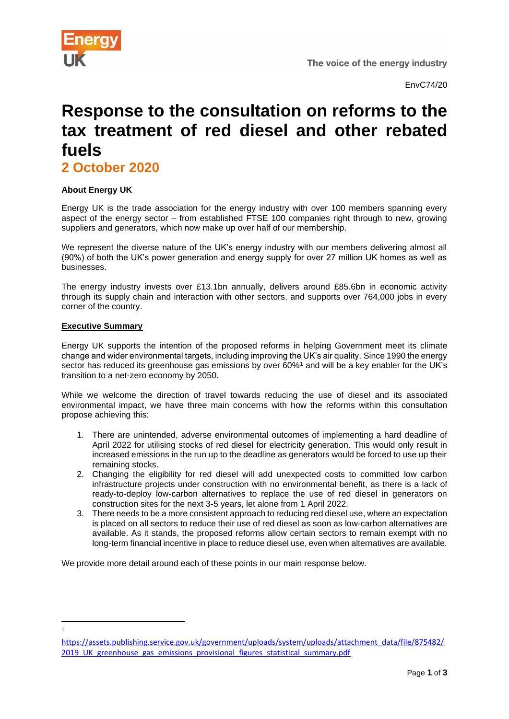

EnvC74/20

# **Response to the consultation on reforms to the tax treatment of red diesel and other rebated fuels**

**2 October 2020** 

# **About Energy UK**

Energy UK is the trade association for the energy industry with over 100 members spanning every aspect of the energy sector – from established FTSE 100 companies right through to new, growing suppliers and generators, which now make up over half of our membership.

We represent the diverse nature of the UK's energy industry with our members delivering almost all (90%) of both the UK's power generation and energy supply for over 27 million UK homes as well as businesses.

The energy industry invests over £13.1bn annually, delivers around £85.6bn in economic activity through its supply chain and interaction with other sectors, and supports over 764,000 jobs in every corner of the country.

#### **Executive Summary**

1

Energy UK supports the intention of the proposed reforms in helping Government meet its climate change and wider environmental targets, including improving the UK's air quality. Since 1990 the energy sector has reduced its greenhouse gas emissions by over 60%<sup>1</sup> and will be a key enabler for the UK's transition to a net-zero economy by 2050.

While we welcome the direction of travel towards reducing the use of diesel and its associated environmental impact, we have three main concerns with how the reforms within this consultation propose achieving this:

- 1. There are unintended, adverse environmental outcomes of implementing a hard deadline of April 2022 for utilising stocks of red diesel for electricity generation. This would only result in increased emissions in the run up to the deadline as generators would be forced to use up their remaining stocks.
- 2. Changing the eligibility for red diesel will add unexpected costs to committed low carbon infrastructure projects under construction with no environmental benefit, as there is a lack of ready-to-deploy low-carbon alternatives to replace the use of red diesel in generators on construction sites for the next 3-5 years, let alone from 1 April 2022.
- 3. There needs to be a more consistent approach to reducing red diesel use, where an expectation is placed on all sectors to reduce their use of red diesel as soon as low-carbon alternatives are available. As it stands, the proposed reforms allow certain sectors to remain exempt with no long-term financial incentive in place to reduce diesel use, even when alternatives are available.

We provide more detail around each of these points in our main response below.

[https://assets.publishing.service.gov.uk/government/uploads/system/uploads/attachment\\_data/file/875482/](https://assets.publishing.service.gov.uk/government/uploads/system/uploads/attachment_data/file/875482/2019_UK_greenhouse_gas_emissions_provisional_figures_statistical_summary.pdf) 2019 UK greenhouse gas emissions provisional figures statistical summary.pdf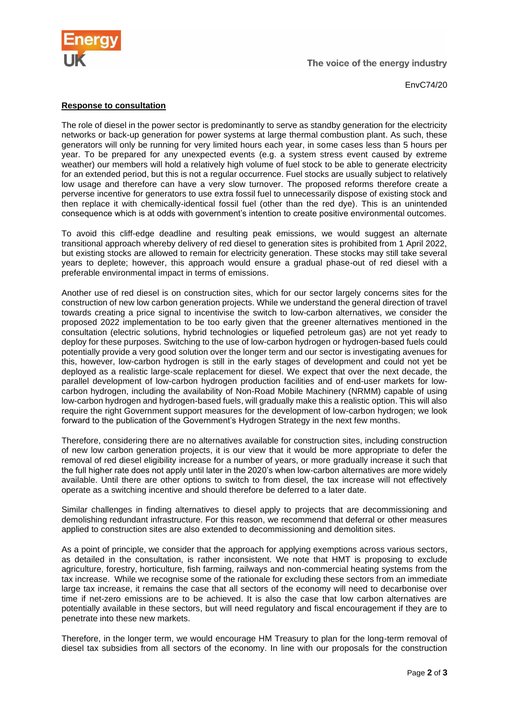

EnvC74/20

## **Response to consultation**

The role of diesel in the power sector is predominantly to serve as standby generation for the electricity networks or back-up generation for power systems at large thermal combustion plant. As such, these generators will only be running for very limited hours each year, in some cases less than 5 hours per year. To be prepared for any unexpected events (e.g. a system stress event caused by extreme weather) our members will hold a relatively high volume of fuel stock to be able to generate electricity for an extended period, but this is not a regular occurrence. Fuel stocks are usually subject to relatively low usage and therefore can have a very slow turnover. The proposed reforms therefore create a perverse incentive for generators to use extra fossil fuel to unnecessarily dispose of existing stock and then replace it with chemically-identical fossil fuel (other than the red dye). This is an unintended consequence which is at odds with government's intention to create positive environmental outcomes.

To avoid this cliff-edge deadline and resulting peak emissions, we would suggest an alternate transitional approach whereby delivery of red diesel to generation sites is prohibited from 1 April 2022, but existing stocks are allowed to remain for electricity generation. These stocks may still take several years to deplete; however, this approach would ensure a gradual phase-out of red diesel with a preferable environmental impact in terms of emissions.

Another use of red diesel is on construction sites, which for our sector largely concerns sites for the construction of new low carbon generation projects. While we understand the general direction of travel towards creating a price signal to incentivise the switch to low-carbon alternatives, we consider the proposed 2022 implementation to be too early given that the greener alternatives mentioned in the consultation (electric solutions, hybrid technologies or liquefied petroleum gas) are not yet ready to deploy for these purposes. Switching to the use of low-carbon hydrogen or hydrogen-based fuels could potentially provide a very good solution over the longer term and our sector is investigating avenues for this, however, low-carbon hydrogen is still in the early stages of development and could not yet be deployed as a realistic large-scale replacement for diesel. We expect that over the next decade, the parallel development of low-carbon hydrogen production facilities and of end-user markets for lowcarbon hydrogen, including the availability of Non-Road Mobile Machinery (NRMM) capable of using low-carbon hydrogen and hydrogen-based fuels, will gradually make this a realistic option. This will also require the right Government support measures for the development of low-carbon hydrogen; we look forward to the publication of the Government's Hydrogen Strategy in the next few months.

Therefore, considering there are no alternatives available for construction sites, including construction of new low carbon generation projects, it is our view that it would be more appropriate to defer the removal of red diesel eligibility increase for a number of years, or more gradually increase it such that the full higher rate does not apply until later in the 2020's when low-carbon alternatives are more widely available. Until there are other options to switch to from diesel, the tax increase will not effectively operate as a switching incentive and should therefore be deferred to a later date.

Similar challenges in finding alternatives to diesel apply to projects that are decommissioning and demolishing redundant infrastructure. For this reason, we recommend that deferral or other measures applied to construction sites are also extended to decommissioning and demolition sites.

As a point of principle, we consider that the approach for applying exemptions across various sectors, as detailed in the consultation, is rather inconsistent. We note that HMT is proposing to exclude agriculture, forestry, horticulture, fish farming, railways and non-commercial heating systems from the tax increase. While we recognise some of the rationale for excluding these sectors from an immediate large tax increase, it remains the case that all sectors of the economy will need to decarbonise over time if net-zero emissions are to be achieved. It is also the case that low carbon alternatives are potentially available in these sectors, but will need regulatory and fiscal encouragement if they are to penetrate into these new markets.

Therefore, in the longer term, we would encourage HM Treasury to plan for the long-term removal of diesel tax subsidies from all sectors of the economy. In line with our proposals for the construction